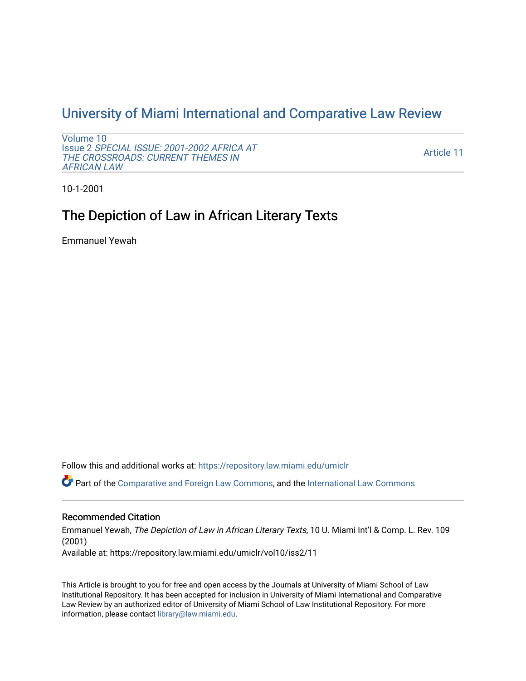## [University of Miami International and Comparative Law Review](https://repository.law.miami.edu/umiclr)

[Volume 10](https://repository.law.miami.edu/umiclr/vol10) Issue 2 [SPECIAL ISSUE: 2001-2002 AFRICA AT](https://repository.law.miami.edu/umiclr/vol10/iss2)  [THE CROSSROADS: CURRENT THEMES IN](https://repository.law.miami.edu/umiclr/vol10/iss2) [AFRICAN LAW](https://repository.law.miami.edu/umiclr/vol10/iss2) 

[Article 11](https://repository.law.miami.edu/umiclr/vol10/iss2/11) 

10-1-2001

## The Depiction of Law in African Literary Texts

Emmanuel Yewah

Follow this and additional works at: [https://repository.law.miami.edu/umiclr](https://repository.law.miami.edu/umiclr?utm_source=repository.law.miami.edu%2Fumiclr%2Fvol10%2Fiss2%2F11&utm_medium=PDF&utm_campaign=PDFCoverPages)

Part of the [Comparative and Foreign Law Commons,](http://network.bepress.com/hgg/discipline/836?utm_source=repository.law.miami.edu%2Fumiclr%2Fvol10%2Fiss2%2F11&utm_medium=PDF&utm_campaign=PDFCoverPages) and the [International Law Commons](http://network.bepress.com/hgg/discipline/609?utm_source=repository.law.miami.edu%2Fumiclr%2Fvol10%2Fiss2%2F11&utm_medium=PDF&utm_campaign=PDFCoverPages)

## Recommended Citation

Emmanuel Yewah, The Depiction of Law in African Literary Texts, 10 U. Miami Int'l & Comp. L. Rev. 109 (2001) Available at: https://repository.law.miami.edu/umiclr/vol10/iss2/11

This Article is brought to you for free and open access by the Journals at University of Miami School of Law Institutional Repository. It has been accepted for inclusion in University of Miami International and Comparative Law Review by an authorized editor of University of Miami School of Law Institutional Repository. For more information, please contact [library@law.miami.edu](mailto:library@law.miami.edu).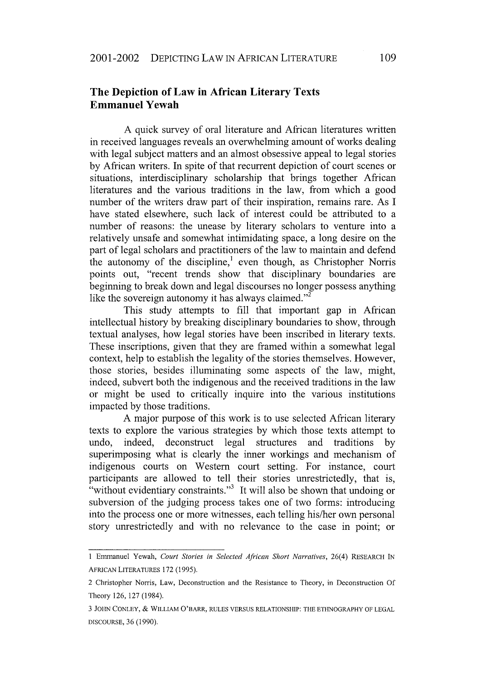## **The Depiction of Law in African Literary Texts Emmanuel Yewah**

**A** quick survey of oral literature and African literatures written in received languages reveals an overwhelming amount of works dealing with legal subject matters and an almost obsessive appeal to legal stories **by** African writers. In spite of that recurrent depiction of court scenes or situations, interdisciplinary scholarship that brings together African literatures and the various traditions in the law, from which a good number of the writers draw part of their inspiration, remains rare. As **I** have stated elsewhere, such lack of interest could be attributed to a number of reasons: the unease **by** literary scholars to venture into a relatively unsafe and somewhat intimidating space, a long desire on the part of legal scholars and practitioners of the law to maintain and defend the autonomy of the discipline,' even though, as Christopher Norris points out, "recent trends show that disciplinary boundaries are beginning to break down and legal discourses no longer possess anything like the sovereign autonomy it has always claimed. $"$ 

This study attempts to fill that important gap in African intellectual history **by** breaking disciplinary boundaries to show, through textual analyses, how legal stories have been inscribed in literary texts. These inscriptions, given that they are framed within a somewhat legal context, help to establish the legality of the stories themselves. However, those stories, besides illuminating some aspects of the law, might, indeed, subvert both the indigenous and the received traditions in the law or might be used to critically inquire into the various institutions impacted **by** those traditions.

**A** major purpose of this work is to use selected African literary texts to explore the various strategies **by** which those texts attempt to undo, indeed, deconstruct legal structures and traditions **by** superimposing what is clearly the inner workings and mechanism of indigenous courts on Western court setting. For instance, court participants are allowed to tell their stories unrestrictedly, that **is,** "without evidentiary constraints."3 It will also be shown that undoing or subversion of the judging process takes one of two forms: introducing into the process one or more witnesses, each telling his/her own personal story unrestrictedly and with no relevance to the case in point; or

**<sup>1</sup>** Emmanuel Yewah, *Court Stories in Selected African Short Narratives,* 26(4) RESEARCH **IN AFRICAN LITERATURES 172** (1995).

<sup>2</sup> Christopher Norris, Law, Deconstruction and the Resistance to Theory, in Deconstruction **Of** Theory **126, 127** (1984).

**<sup>3</sup> JOHN CONLEY, & WILLIAM O'BARR, RULES VERSUS RELATIONSHIP: THE ETHNOGRAPHY OF LEGAL** DISCOURSE, **36 (1990).**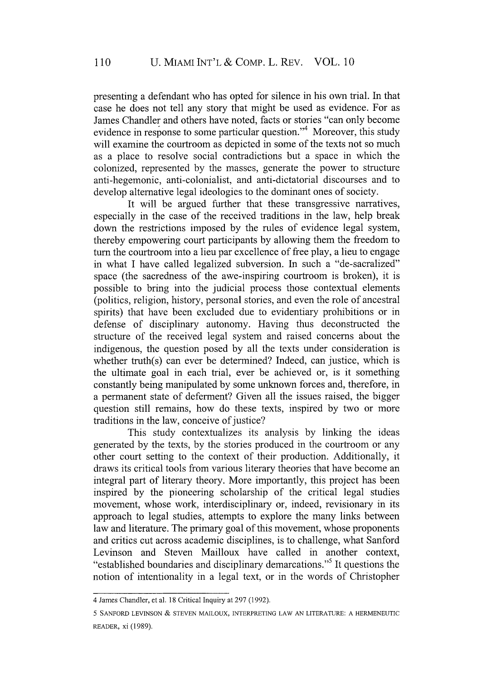presenting a defendant who has opted for silence in his own trial. In that case he does not tell any story that might be used as evidence. For as James Chandler and others have noted, facts or stories "can only become evidence in response to some particular question." $4$  Moreover, this study will examine the courtroom as depicted in some of the texts not so much as a place to resolve social contradictions but a space in which the colonized, represented by the masses, generate the power to structure anti-hegemonic, anti-colonialist, and anti-dictatorial discourses and to develop alternative legal ideologies to the dominant ones of society.

It will be argued further that these transgressive narratives, especially in the case of the received traditions in the law, help break down the restrictions imposed by the rules of evidence legal system, thereby empowering court participants by allowing them the freedom to turn the courtroom into a lieu par excellence of free play, a lieu to engage in what I have called legalized subversion. In such a "de-sacralized" space (the sacredness of the awe-inspiring courtroom is broken), it is possible to bring into the judicial process those contextual elements (politics, religion, history, personal stories, and even the role of ancestral spirits) that have been excluded due to evidentiary prohibitions or in defense of disciplinary autonomy. Having thus deconstructed the structure of the received legal system and raised concerns about the indigenous, the question posed by all the texts under consideration is whether truth(s) can ever be determined? Indeed, can justice, which is the ultimate goal in each trial, ever be achieved or, is it something constantly being manipulated by some unknown forces and, therefore, in a permanent state of deferment? Given all the issues raised, the bigger question still remains, how do these texts, inspired by two or more traditions in the law, conceive of justice?

This study contextualizes its analysis by linking the ideas generated by the texts, by the stories produced in the courtroom or any other court setting to the context of their production. Additionally, it draws its critical tools from various literary theories that have become an integral part of literary theory. More importantly, this project has been inspired by the pioneering scholarship of the critical legal studies movement, whose work, interdisciplinary or, indeed, revisionary in its approach to legal studies, attempts to explore the many links between law and literature. The primary goal of this movement, whose proponents and critics cut across academic disciplines, is to challenge, what Sanford Levinson and Steven Mailloux have called in another context, "established boundaries and disciplinary demarcations."5 It questions the notion of intentionality in a legal text, or in the words of Christopher

110

<sup>4</sup> James Chandler, et al. 18 Critical Inquiry at 297 (1992).

<sup>5</sup> **SANFORD LEVINSON & STEVEN** MAILOUX, INTERPRETING LAW **AN** LITERATURE: **A HERMENEUTIC** READER, xi (1989).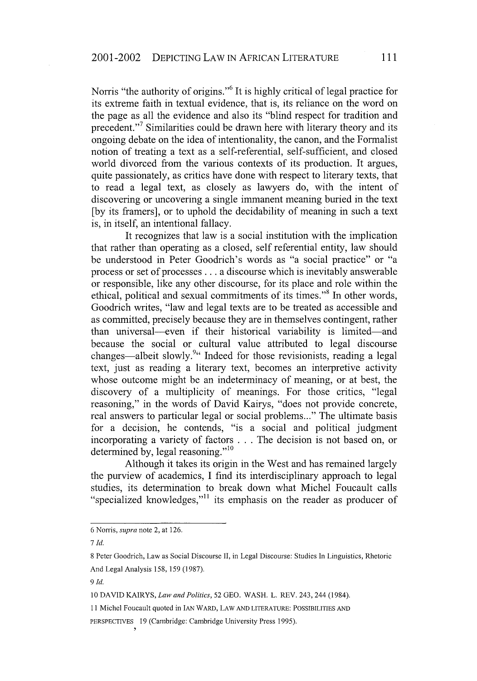Norris "the authority of origins."<sup>6</sup> It is highly critical of legal practice for its extreme faith in textual evidence, that is, its reliance on the word on the page as all the evidence and also its "blind respect for tradition and precedent."<sup>7</sup> Similarities could be drawn here with literary theory and its ongoing debate on the idea of intentionality, the canon, and the Formalist notion of treating a text as a self-referential, self-sufficient, and closed world divorced from the various contexts of its production. It argues, quite passionately, as critics have done with respect to literary texts, that to read a legal text, as closely as lawyers do, with the intent of discovering or uncovering a single immanent meaning buried in the text [by its framers], or to uphold the decidability of meaning in such a text is, in itself, an intentional fallacy.

It recognizes that law is a social institution with the implication that rather than operating as a closed, self referential entity, law should be understood in Peter Goodrich's words as "a social practice" or "a process or set of processes **...** a discourse which is inevitably answerable or responsible, like any other discourse, for its place and role within the ethical, political and sexual commitments of its times."8 In other words, Goodrich writes, "law and legal texts are to be treated as accessible and as committed, precisely because they are in themselves contingent, rather than universal—even if their historical variability is limited—and because the social or cultural value attributed to legal discourse changes—albeit slowly.<sup>9</sup>" Indeed for those revisionists, reading a legal text, just as reading a literary text, becomes an interpretive activity whose outcome might be an indeterminacy of meaning, or at best, the discovery of a multiplicity of meanings. For those critics, "legal reasoning," in the words of David Kairys, "does not provide concrete, real answers to particular legal or social problems..." The ultimate basis for a decision, he contends, "is a social and political judgment incorporating a variety of factors .. .The decision is not based on, or determined by, legal reasoning."<sup>10</sup>

Although it takes its origin in the West and has remained largely the purview of academics, I find its interdisciplinary approach to legal studies, its determination to break down what Michel Foucault calls "specialized knowledges,"1' its emphasis on the reader as producer of

<sup>6</sup> Norris, supra note 2, at 126.

**<sup>7</sup>** *Id.*

<sup>8</sup> Peter Goodrich, Law as Social Discourse II, in Legal Discourse: Studies In Linguistics, Rhetoric And Legal Analysis 158, 159 (1987).

*<sup>9</sup> Id.*

<sup>10</sup> DAVID KAIRYS, *Law and Politics,* 52 GEO. WASH. L. REV. 243, 244 (1984).

**<sup>11</sup>**Michel Foucault quoted in **IAN** WARD, LAW **AND** LITERATURE: **POSSIBILITIES AND**

PERSPECTIVES 19 (Cambridge: Cambridge University Press 1995).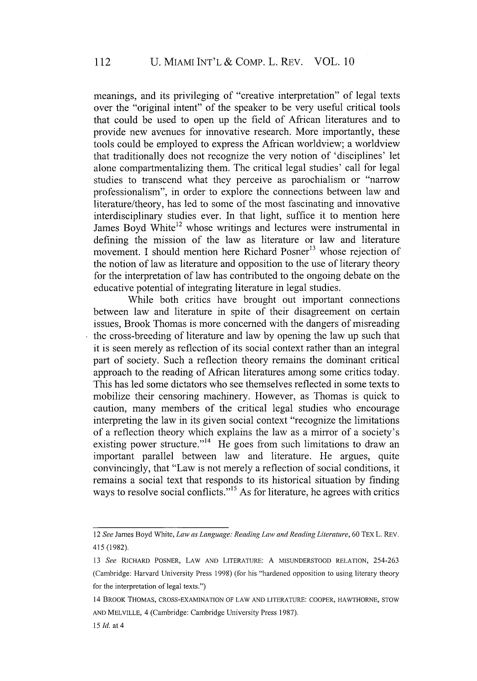meanings, and its privileging of "creative interpretation" of legal texts over the "original intent" of the speaker to be very useful critical tools that could be used to open up the field of African literatures and to provide new avenues for innovative research. More importantly, these tools could be employed to express the African worldview; a worldview that traditionally does not recognize the very notion of 'disciplines' let alone compartmentalizing them. The critical legal studies' call for legal studies to transcend what they perceive as parochialism or "narrow professionalism", in order to explore the connections between law and literature/theory, has led to some of the most fascinating and innovative interdisciplinary studies ever. In that light, suffice it to mention here James Boyd White<sup>12</sup> whose writings and lectures were instrumental in defining the mission of the law as literature or law and literature movement. I should mention here Richard Posner<sup>13</sup> whose rejection of the notion of law as literature and opposition to the use of literary theory for the interpretation of law has contributed to the ongoing debate on the educative potential of integrating literature in legal studies.

While both critics have brought out important connections between law and literature in spite of their disagreement on certain issues, Brook Thomas is more concerned with the dangers of misreading the cross-breeding of literature and law by opening the law up such that it is seen merely as reflection of its social context rather than an integral part of society. Such a reflection theory remains the dominant critical approach to the reading of African literatures among some critics today. This has led some dictators who see themselves reflected in some texts to mobilize their censoring machinery. However, as Thomas is quick to caution, many members of the critical legal studies who encourage interpreting the law in its given social context "recognize the limitations of a reflection theory which explains the law as a mirror of a society's existing power structure. $14$  He goes from such limitations to draw an important parallel between law and literature. He argues, quite convincingly, that "Law is not merely a reflection of social conditions, it remains a social text that responds to its historical situation by finding ways to resolve social conflicts."<sup>15</sup> As for literature, he agrees with critics

*<sup>12</sup> See* James Boyd White, *Law* as *Language: Reading Law and Reading Literature,* 60 TEX L. REV. 415 (1982).

<sup>13</sup> *See* RICHARD POSNER, LAW AND LITERATURE: A MISUNDERSTOOD RELATION, 254-263 (Cambridge: Harvard University Press 1998) (for his "hardened opposition to using literary theory for the interpretation of legal texts.")

<sup>14</sup> BROOK THOMAS, CROSS-EXAMINATION OF LAW AND LITERATURE: COOPER, HAWTHORNE, STOW AND MELVILLE, 4 (Cambridge: Cambridge University Press 1987).

*<sup>15</sup> Id.* at4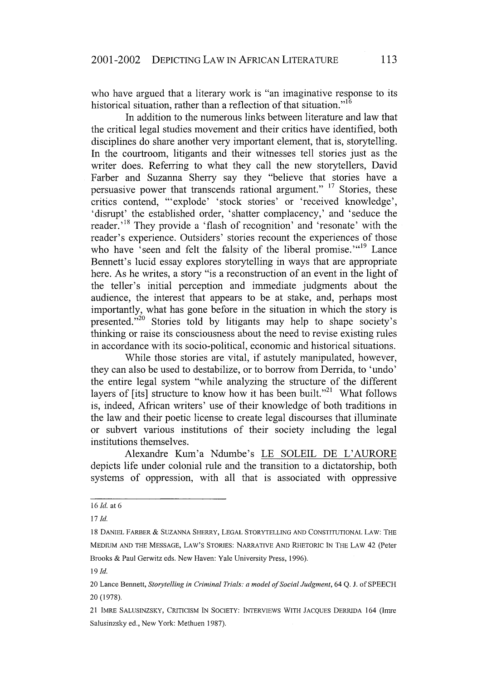who have argued that a literary work is "an imaginative response to its historical situation, rather than a reflection of that situation.<sup> $16$ </sup>

In addition to the numerous links between literature and law that the critical legal studies movement and their critics have identified, both disciplines do share another very important element, that is, storytelling. In the courtroom, litigants and their witnesses tell stories just as the writer does. Referring to what they call the new storytellers, David Farber and Suzanna Sherry say they "believe that stories have a persuasive power that transcends rational argument." 17 Stories, these critics contend, "'explode' 'stock stories' or 'received knowledge', 'disrupt' the established order, 'shatter complacency,' and 'seduce the reader.<sup>18</sup> They provide a 'flash of recognition' and 'resonate' with the reader's experience. Outsiders' stories recount the experiences of those who have 'seen and felt the falsity of the liberal promise."<sup>19</sup> Lance Bennett's lucid essay explores storytelling in ways that are appropriate here. As he writes, a story "is a reconstruction of an event in the light of the teller's initial perception and immediate judgments about the audience, the interest that appears to be at stake, and, perhaps most importantly, what has gone before in the situation in which the story is presented. $b^{20}$  Stories told by litigants may help to shape society's thinking or raise its consciousness about the need to revise existing rules in accordance with its socio-political, economic and historical situations.

While those stories are vital, if astutely manipulated, however, they can also be used to destabilize, or to borrow from Derrida, to 'undo' the entire legal system "while analyzing the structure of the different layers of [its] structure to know how it has been built."<sup>21</sup> What follows is, indeed, African writers' use of their knowledge of both traditions in the law and their poetic license to create legal discourses that illuminate or subvert various institutions of their society including the legal institutions themselves.

Alexandre Kum'a Ndumbe's LE SOLEIL DE L'AURORE depicts life under colonial rule and the transition to a dictatorship, both systems of oppression, with all that is associated with oppressive

*<sup>16</sup> Id.* at **6**

*<sup>17</sup> Id.*

<sup>18</sup> DANIEL FARBER & SUZANNA SHERRY, LEGAL STORYTELLING AND CONSTITUTIONAL LAW: THE MEDIUM AND THE MESSAGE, LAW'S STORIES: NARRATIVE AND RHETORIC IN THE LAW 42 (Peter Brooks & Paul Gerwitz eds. New Haven: Yale University Press, 1996).

<sup>19</sup> *Id.*

<sup>20</sup> Lance Bennett, *Storytelling in Criminal Trials: a model of Social Judgment,* 64 Q. J. of SPEECH 20(1978).

<sup>21</sup> IMRE SALUSINZSKY, CRITICISM IN SOCIETY: INTERVIEWS WITH JACQUES DERRIDA 164 (Imre Salusinzsky ed., New York: Methuen 1987).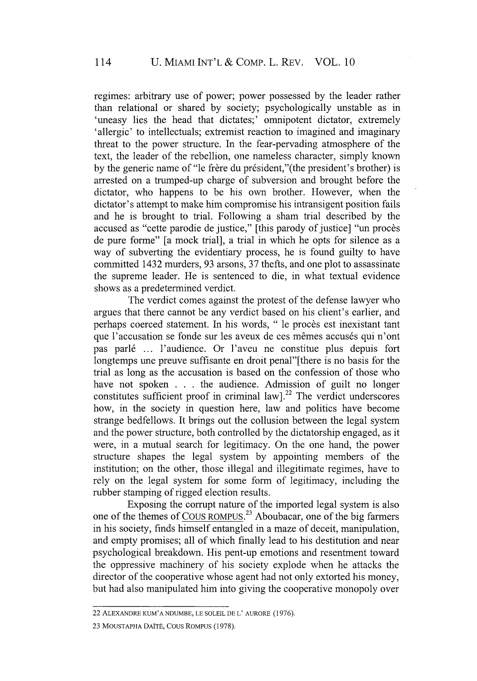regimes: arbitrary use of power; power possessed by the leader rather than relational or shared by society; psychologically unstable as in 'uneasy lies the head that dictates;' omnipotent dictator, extremely 'allergic' to intellectuals; extremist reaction to imagined and imaginary threat to the power structure. In the fear-pervading atmosphere of the text, the leader of the rebellion, one nameless character, simply known by the generic name of "le frère du président,"(the president's brother) is arrested on a trumped-up charge of subversion and brought before the dictator, who happens to be his own brother. However, when the dictator's attempt to make him compromise his intransigent position fails and he is brought to trial. Following a sham trial described by the accused as "cette parodie de justice," [this parody of justice] "un procès de pure forme" [a mock trial], a trial in which he opts for silence as a way of subverting the evidentiary process, he is found guilty to have committed 1432 murders, 93 arsons, 37 thefts, and one plot to assassinate the supreme leader. He is sentenced to die, in what textual evidence shows as a predetermined verdict.

The verdict comes against the protest of the defense lawyer who argues that there cannot be any verdict based on his client's earlier, and perhaps coerced statement. In his words, " le procès est inexistant tant que l'accusation se fonde sur les aveux de ces mêmes accusés qui n'ont pas parl6 ... l'audience. Or l'aveu ne constitue plus depuis fort longtemps une preuve suffisante en droit penal" [there is no basis for the trial as long as the accusation is based on the confession of those who have not spoken . . . the audience. Admission of guilt no longer constitutes sufficient proof in criminal law] **.22** The verdict underscores how, in the society in question here, law and politics have become strange bedfellows. It brings out the collusion between the legal system and the power structure, both controlled by the dictatorship engaged, as it were, in a mutual search for legitimacy. On the one hand, the power structure shapes the legal system by appointing members of the institution; on the other, those illegal and illegitimate regimes, have to rely on the legal system for some form of legitimacy, including the rubber stamping of rigged election results.

Exposing the corrupt nature of the imported legal system is also one of the themes of COUS ROMPUS.<sup>23</sup> Aboubacar, one of the big farmers in his society, finds himself entangled in a maze of deceit, manipulation, and empty promises; all of which finally lead to his destitution and near psychological breakdown. His pent-up emotions and resentment toward the oppressive machinery of his society explode when he attacks the director of the cooperative whose agent had not only extorted his money, but had also manipulated him into giving the cooperative monopoly over

<sup>22</sup> ALEXANDRE KUM'A NDUMBE, LE SOLEIL DE L' AURORE (1976).

<sup>23</sup> MOUSTAPHA DATE, Cous ROMPUS (1978).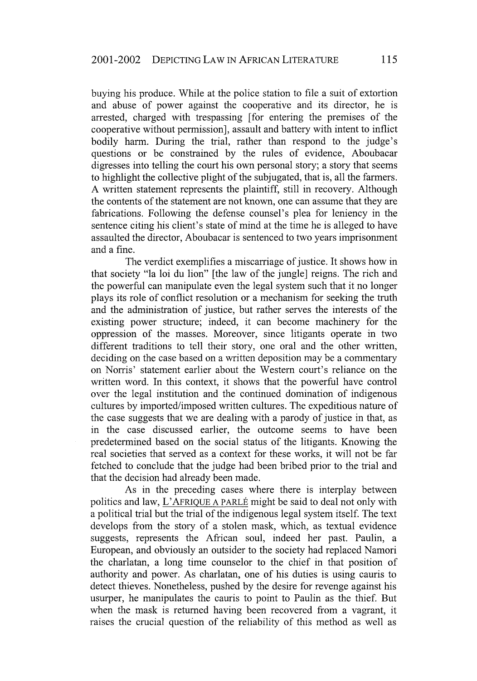buying his produce. While at the police station to file a suit of extortion and abuse of power against the cooperative and its director, he is arrested, charged with trespassing [for entering the premises of the cooperative without permission], assault and battery with intent to inflict bodily harm. During the trial, rather than respond to the judge's questions or be constrained by the rules of evidence, Aboubacar digresses into telling the court his own personal story; a story that seems to highlight the collective plight of the subjugated, that is, all the farmers. A written statement represents the plaintiff, still in recovery. Although the contents of the statement are not known, one can assume that they are fabrications. Following the defense counsel's plea for leniency in the sentence citing his client's state of mind at the time he is alleged to have assaulted the director, Aboubacar is sentenced to two years imprisonment and a fine.

The verdict exemplifies a miscarriage of justice. It shows how in that society "la loi du lion" [the law of the jungle] reigns. The rich and the powerful can manipulate even the legal system such that it no longer plays its role of conflict resolution or a mechanism for seeking the truth and the administration of justice, but rather serves the interests of the existing power structure; indeed, it can become machinery for the oppression of the masses. Moreover, since litigants operate in two different traditions to tell their story, one oral and the other written, deciding on the case based on a written deposition may be a commentary on Norris' statement earlier about the Western court's reliance on the written word. In this context, it shows that the powerful have control over the legal institution and the continued domination of indigenous cultures by imported/imposed written cultures. The expeditious nature of the case suggests that we are dealing with a parody of justice in that, as in the case discussed earlier, the outcome seems to have been predetermined based on the social status of the litigants. Knowing the real societies that served as a context for these works, it will not be far fetched to conclude that the judge had been bribed prior to the trial and that the decision had already been made.

As in the preceding cases where there is interplay between politics and law, L'AFRIQUE A PARLE might be said to deal not only with a political trial but the trial of the indigenous legal system itself. The text develops from the story of a stolen mask, which, as textual evidence suggests, represents the African soul, indeed her past. Paulin, a European, and obviously an outsider to the society had replaced Namori the charlatan, a long time counselor to the chief in that position of authority and power. As charlatan, one of his duties is using cauris to detect thieves. Nonetheless, pushed by the desire for revenge against his usurper, he manipulates the cauris to point to Paulin as the thief. But when the mask is returned having been recovered from a vagrant, it raises the crucial question of the reliability of this method as well as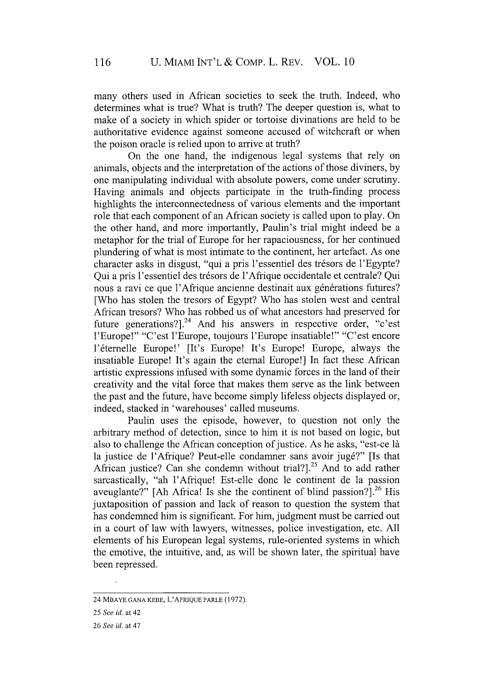many others used in African societies to seek the truth. Indeed, who determines what is true? What is truth? The deeper question is, what to make of a society in which spider or tortoise divinations are held to be authoritative evidence against someone accused of witchcraft or when the poison oracle is relied upon to arrive at truth?

On the one hand, the indigenous legal systems that rely on animals, objects and the interpretation of the actions of those diviners, by one manipulating individual with absolute powers, come under scrutiny. Having animals and objects participate in the truth-finding process highlights the interconnectedness of various elements and the important role that each component of an African society is called upon to play. On the other hand, and more importantly, Paulin's trial might indeed be a metaphor for the trial of Europe for her rapaciousness, for her continued plundering of what is most intimate to the continent, her artefact. As one character asks in disgust, "qui a pris l'essentiel des trésors de l'Egypte? Qui a pris l'essentiel des trésors de l'Afrique occidentale et centrale? Qui nous a ravi ce que l'Afrique ancienne destinait aux générations futures? [Who has stolen the tresors of Egypt? Who has stolen west and central African tresors? Who has robbed us of what ancestors had preserved for future generations?]<sup>24</sup> And his answers in respective order, "c'est" I'Europe!" "C'est I'Europe, toujours 1'Europe insatiable!". "C'est encore l'éternelle Europe!' [It's Europe! It's Europe! Europe, always the insatiable Europe! It's again the eternal Europe!] In fact these African artistic expressions infused with some dynamic forces in the land of their creativity and the vital force that makes them serve as the link between the past and the future, have become simply lifeless objects displayed or, indeed, stacked in 'warehouses' called museums.

Paulin uses the episode, however, to question not only the arbitrary method of detection, since to him it is not based on logic, but also to challenge the African conception of justice. As he asks, "est-ce **1i** la justice de l'Afrique? Peut-elle condamner sans avoir jug6?" [Is that African justice? Can she condemn without trial?].<sup>25</sup> And to add rather sarcastically, "ah l'Afrique! Est-elle donc le continent de la passion aveuglante?" [Ah Africa! Is she the continent of blind passion?].<sup>26</sup> His juxtaposition of passion and lack of reason to question the system that has condemned him is significant. For him, judgment must be carried out in a court of law with lawyers, witnesses, police investigation, etc. All elements of his European legal systems, rule-oriented systems in which the emotive, the intuitive, and, as will be shown later, the spiritual have been repressed.

<sup>24</sup> MBAYE GANA KEBE, L'AFRIQUE PARLE (1972).

*<sup>25</sup> See id.* at 42

<sup>26</sup> *See id.* at 47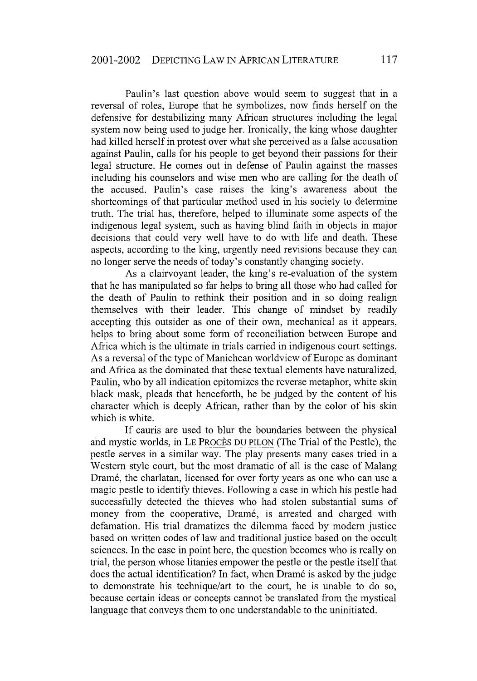Paulin's last question above would seem to suggest that in a reversal of roles, Europe that he symbolizes, now finds herself on the defensive for destabilizing many African structures including the legal system now being used to judge her. Ironically, the king whose daughter had killed herself in protest over what she perceived as a false accusation against Paulin, calls for his people to get beyond their passions for their legal structure. He comes out in defense of Paulin against the masses including his counselors and wise men who are calling for the death of the accused. Paulin's case raises the king's awareness about the shortcomings of that particular method used in his society to determine truth. The trial has, therefore, helped to illuminate some aspects of the indigenous legal system, such as having blind faith in objects in major decisions that could very well have to do with life and death. These aspects, according to the king, urgently need revisions because they can no longer serve the needs of today's constantly changing society.

As a clairvoyant leader, the king's re-evaluation of the system that he has manipulated so far helps to bring all those who had called for the death of Paulin to rethink their position and in so doing realign themselves with their leader. This change of mindset by readily accepting this outsider as one of their own, mechanical as it appears, helps to bring about some form of reconciliation between Europe and Africa which is the ultimate in trials carried in indigenous court settings. As a reversal of the type of Manichean worldview of Europe as dominant and Africa as the dominated that these textual elements have naturalized, Paulin, who by all indication epitomizes the reverse metaphor, white skin black mask, pleads that henceforth, he be judged by the content of his character which is deeply African, rather than by the color of his skin which is white.

If cauris are used to blur the boundaries between the physical and mystic worlds, in LE PROCÈS DU PILON (The Trial of the Pestle), the pestle serves in a similar way. The play presents many cases tried in a Western style court, but the most dramatic of all is the case of Malang Dram6, the charlatan, licensed for over forty years as one who can use a magic pestle to identify thieves. Following a case in which his pestle had successfully detected the thieves who had stolen substantial sums of money from the cooperative, Dramé, is arrested and charged with defamation. His trial dramatizes the dilemma faced by modem justice based on written codes of law and traditional justice based on the occult sciences. In the case in point here, the question becomes who is really on trial, the person whose litanies empower the pestle or the pestle itself that does the actual identification? In fact, when Dramé is asked by the judge to demonstrate his technique/art to the court, he is unable to do so, because certain ideas or concepts cannot be translated from the mystical language that conveys them to one understandable to the uninitiated.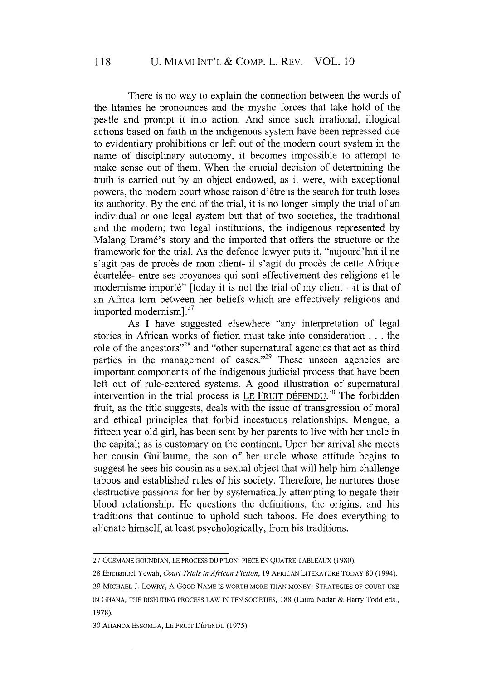There is no way to explain the connection between the words of the litanies he pronounces and the mystic forces that take hold of the pestle and prompt it into action. And since such irrational, illogical actions based on faith in the indigenous system have been repressed due to evidentiary prohibitions or left out of the modem court system in the name of disciplinary autonomy, it becomes impossible to attempt to make sense out of them. When the crucial decision of determining the truth is carried out by an object endowed, as it were, with exceptional powers, the modern court whose raison d'être is the search for truth loses its authority. By the end of the trial, it is no longer simply the trial of an individual or one legal system but that of two societies, the traditional and the modem; two legal institutions, the indigenous represented by Malang Dramé's story and the imported that offers the structure or the framework for the trial. As the defence lawyer puts it, "aujourd'hui il ne s'agit pas de procès de mon client- il s'agit du procès de cette Afrique écartelée- entre ses croyances qui sont effectivement des religions et le modernisme importé" [today it is not the trial of my client--it is that of an Africa tom between her beliefs which are effectively religions and imported modernism] **.27**

As I have suggested elsewhere "any interpretation of legal stories in African works of fiction must take into consideration **...** the role of the ancestors<sup>"28</sup> and "other supernatural agencies that act as third parties in the management of cases."<sup>29</sup> These unseen agencies are important components of the indigenous judicial process that have been left out of rule-centered systems. A good illustration of supernatural intervention in the trial process is LE FRUIT DÉFENDU.<sup>30</sup> The forbidden fruit, as the title suggests, deals with the issue of transgression of moral and ethical principles that forbid incestuous relationships. Mengue, a fifteen year old girl, has been sent by her parents to live with her uncle in the capital; as is customary on the continent. Upon her arrival she meets her cousin Guillaume, the son of her uncle whose attitude begins to suggest he sees his cousin as a sexual object that will help him challenge taboos and established rules of his society. Therefore, he nurtures those destructive passions for her by systematically attempting to negate their blood relationship. He questions the definitions, the origins, and his traditions that continue to uphold such taboos. He does everything to alienate himself, at least psychologically, from his traditions.

<sup>27</sup> **OUSMANE GOUNDIAN, LE PROCESS DU PILON: PIECE EN QUATRE TABLEAUX (1980).**

<sup>28</sup> Emmanuel Yewah, *Court Trials in African Fiction,* 19 AFRICAN LITERATURE TODAY 80 (1994).

<sup>29</sup> **MICHAEL** J. LOWRY, **A GOOD NAME IS** WORTH MORE **THAN** MONEY: **STRATEGIES** OF **COURT USE IN GHANA,** THE **DISPUTING PROCESS** LAW **IN TEN** SOCIETIES, 188 (Laura Nadar & Harry Todd eds., 1978).

<sup>30</sup> **AHANDA** ESSOMBA, **LE** FRUIT **DEFENDU (1975).**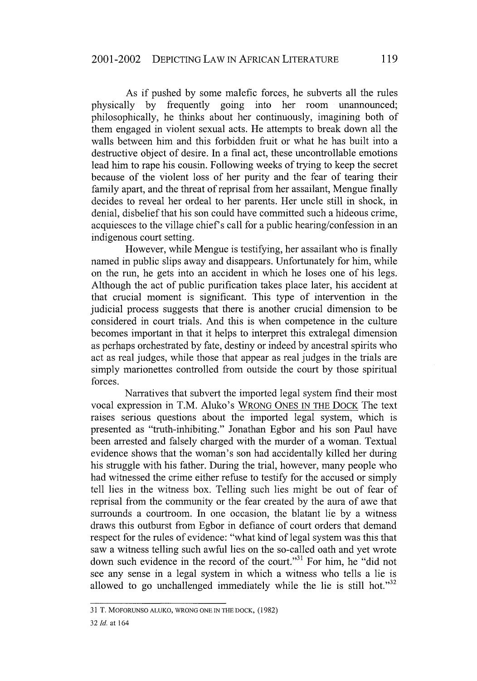As if pushed by some malefic forces, he subverts all the rules physically by frequently going into her room unannounced; philosophically, he thinks about her continuously, imagining both of them engaged in violent sexual acts. He attempts to break down all the walls between him and this forbidden fruit or what he has built into a destructive object of desire. In a final act, these uncontrollable emotions lead him to rape his cousin. Following weeks of trying to keep the secret because of the violent loss of her purity and the fear of tearing their family apart, and the threat of reprisal from her assailant, Mengue finally decides to reveal her ordeal to her parents. Her uncle still in shock, in denial, disbelief that his son could have committed such a hideous crime, acquiesces to the village chief s call for a public hearing/confession in an indigenous court setting.

However, while Mengue is testifying, her assailant who is finally named in public slips away and disappears. Unfortunately for him, while on the run, he gets into an accident in which he loses one of his legs. Although the act of public purification takes place later, his accident at that crucial moment is significant. This type of intervention in the judicial process suggests that there is another crucial dimension to be considered in court trials. And this is when competence in the culture becomes important in that it helps to interpret this extralegal dimension as perhaps orchestrated by fate, destiny or indeed by ancestral spirits who act as real judges, while those that appear as real judges in the trials are simply marionettes controlled from outside the court by those spiritual forces.

Narratives that subvert the imported legal system find their most vocal expression in T.M. Aluko's WRONG ONES **IN** THE DOCK The text raises serious questions about the imported legal system, which is presented as "truth-inhibiting." Jonathan Egbor and his son Paul have been arrested and falsely charged with the murder of a woman. Textual evidence shows that the woman's son had accidentally killed her during his struggle with his father. During the trial, however, many people who had witnessed the crime either refuse to testify for the accused or simply tell lies in the witness box. Telling such lies might be out of fear of reprisal from the community or the fear created by the aura of awe that surrounds a courtroom. In one occasion, the blatant lie by a witness draws this outburst from Egbor in defiance of court orders that demand respect for the rules of evidence: "what kind of legal system was this that saw a witness telling such awful lies on the so-called oath and yet wrote down such evidence in the record of the court."<sup>31</sup> For him, he "did not see any sense in a legal system in which a witness who tells a lie is allowed to go unchallenged immediately while the lie is still hot." $32$ 

<sup>31</sup> T. MOFORUNSO ALUKO, WRONG ONE IN THE DOCK, (1982)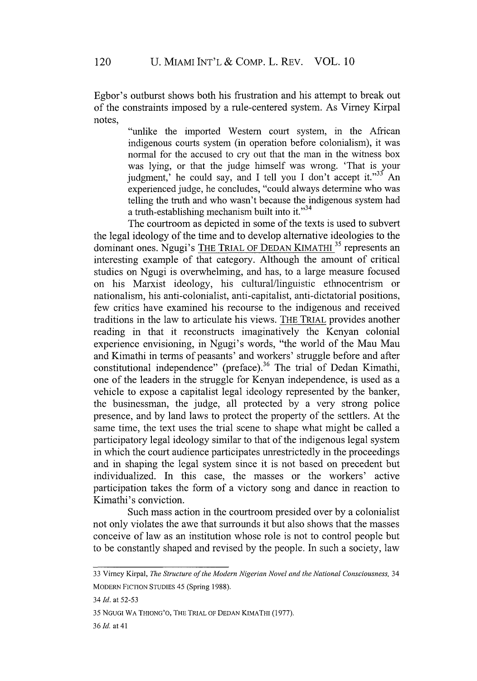Egbor's outburst shows both his frustration and his attempt to break out of the constraints imposed by a rule-centered system. As Virney Kirpal notes, "unlike the imported Western court system, in the African

indigenous courts system (in operation before colonialism), it was normal for the accused to cry out that the man in the witness box was lying, or that the judge himself was wrong. 'That is your judgment,' he could say, and I tell you I don't accept it."<sup>33</sup> An experienced judge, he concludes, "could always determine who was telling the truth and who wasn't because the indigenous system had a truth-establishing mechanism built into it."<sup>34</sup>

The courtroom as depicted in some of the texts is used to subvert the legal ideology of the time and to develop alternative ideologies to the dominant ones. Ngugi's THE TRIAL OF DEDAN KIMATHI **35** represents an interesting example of that category. Although the amount of critical studies on Ngugi is overwhelming, and has, to a large measure focused on his Marxist ideology, his cultural/linguistic ethnocentrism or nationalism, his anti-colonialist, anti-capitalist, anti-dictatorial positions, few critics have examined his recourse to the indigenous and received traditions in the law to articulate his views. THE TRIAL provides another reading in that it reconstructs imaginatively the Kenyan colonial experience envisioning, in Ngugi's words, "the world of the Mau Mau and Kimathi in terms of peasants' and workers' struggle before and after constitutional independence" (preface).<sup>36</sup> The trial of Dedan Kimathi, one of the leaders in the struggle for Kenyan independence, is used as a vehicle to expose a capitalist legal ideology represented by the banker, the businessman, the judge, all protected by a very strong police presence, and by land laws to protect the property of the settlers. At the same time, the text uses the trial scene to shape what might be called a participatory legal ideology similar to that of the indigenous legal system in which the court audience participates unrestrictedly in the proceedings and in shaping the legal system since it is not based on precedent but individualized. In this case, the masses or the workers' active participation takes the form of a victory song and dance in reaction to Kimathi's conviction.

Such mass action in the courtroom presided over by a colonialist not only violates the awe that surrounds it but also shows that the masses conceive of law as an institution whose role is not to control people but to be constantly shaped and revised by the people. In such a society, law

120

<sup>33</sup> Virney Kirpal, *The Structure of the Modern Nigerian Novel and the National Consciousness*, 34 MODERN FICTION STUDIES 45 (Spring 1988).

<sup>34</sup> *Id.* at 52-53

<sup>35</sup> **NGUGI** WA THIONG'O, THE TRIAL OF DEDAN KIMATHI (1977).

*<sup>36</sup>Id.* at41